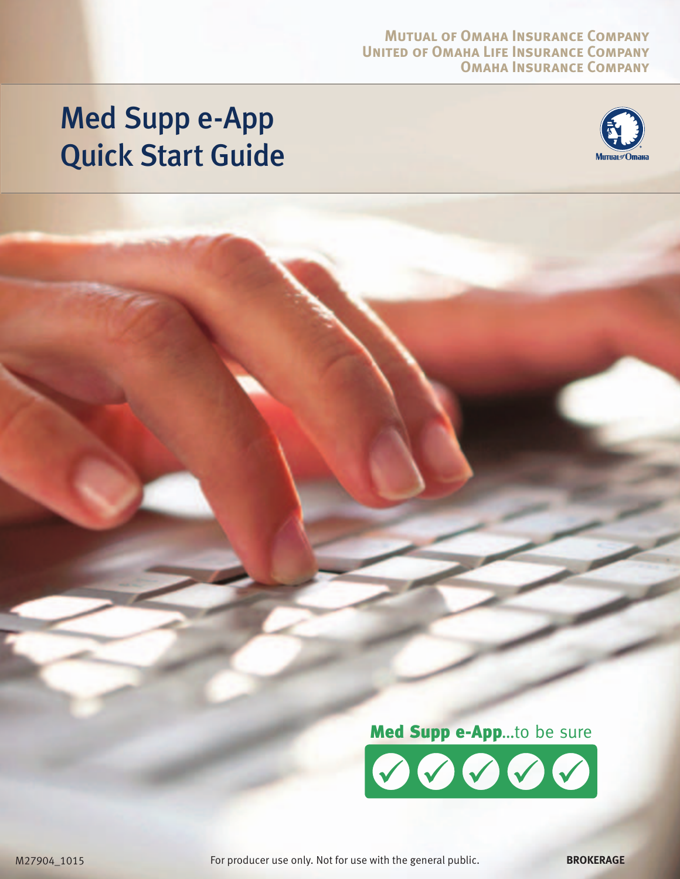#### **Mutual of Omaha Insurance Company United of Omaha Life Insurance Company Omaha Insurance Company**

# Med Supp e-App Quick Start Guide





For producer use only. Not for use with the general public. **BROKERAGE**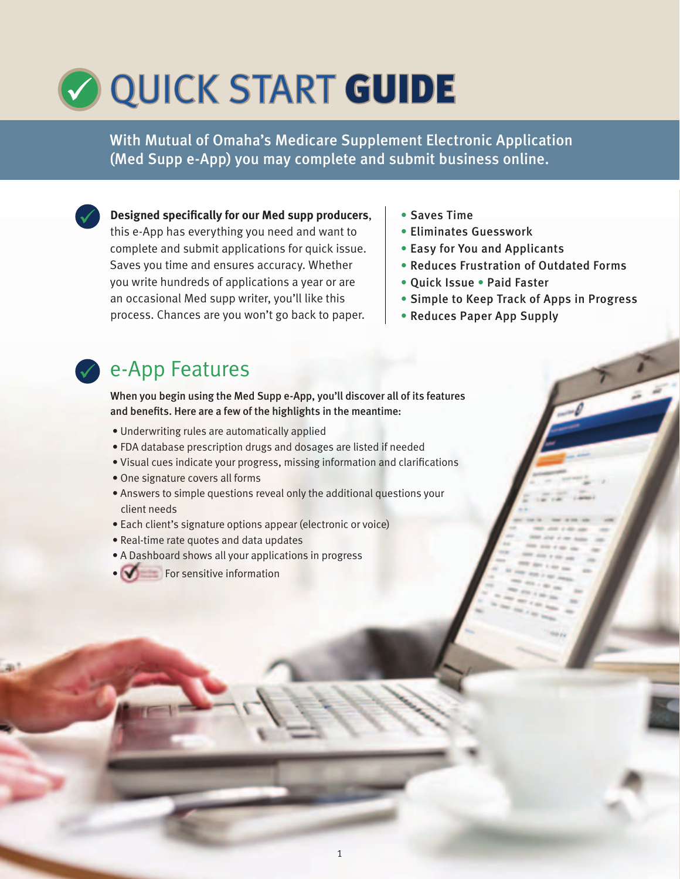# **COULD AND A START GUIDE**

With Mutual of Omaha's Medicare Supplement Electronic Application (Med Supp e-App) you may complete and submit business online.

**Designed specifically for our Med supp producers**, this e-App has everything you need and want to complete and submit applications for quick issue. Saves you time and ensures accuracy. Whether you write hundreds of applications a year or are an occasional Med supp writer, you'll like this process. Chances are you won't go back to paper.

- Saves Time
- **Eliminates Guesswork**
- Easy for You and Applicants
- Reduces Frustration of Outdated Forms
- Quick Issue Paid Faster
- **Simple to Keep Track of Apps in Progress**
- Reduces Paper App Supply

### e-App Features

When you begin using the Med Supp e-App, you'll discover all of its features and benefits. Here are a few of the highlights in the meantime:

- Underwriting rules are automatically applied
- FDA database prescription drugs and dosages are listed if needed
- Visual cues indicate your progress, missing information and clarifications

1

- One signature covers all forms
- Answers to simple questions reveal only the additional questions your client needs
- Each client's signature options appear (electronic or voice)
- Real-time rate quotes and data updates
- A Dashboard shows all your applications in progress
- **L** For sensitive information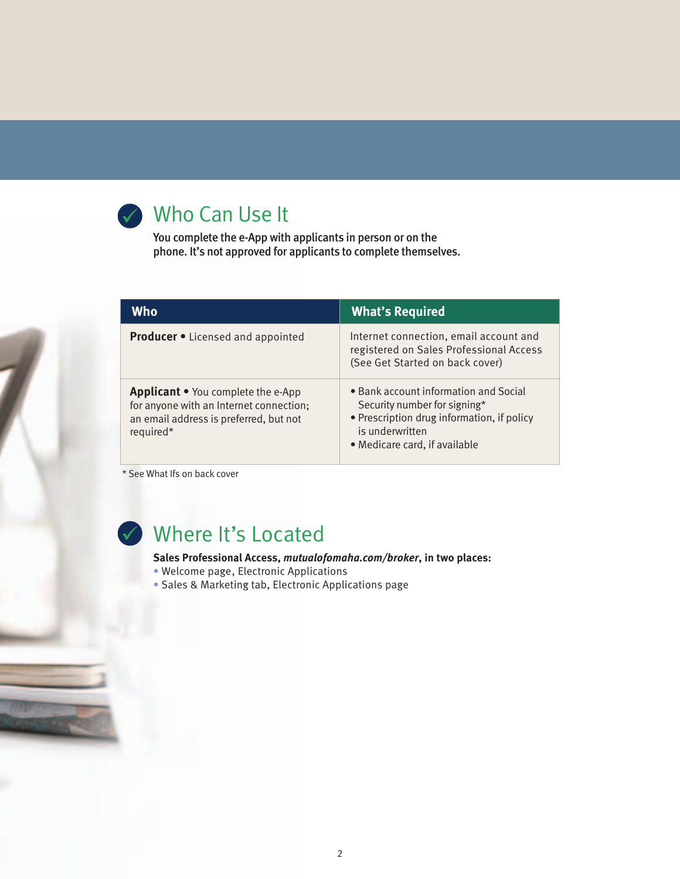

### Who Can Use It

You complete the e-App with applicants in person or on the phone. It's not approved for applicants to complete themselves.

| Who                                                                                                                                         | <b>What's Required</b>                                                                                                                                                  |
|---------------------------------------------------------------------------------------------------------------------------------------------|-------------------------------------------------------------------------------------------------------------------------------------------------------------------------|
| <b>Producer •</b> Licensed and appointed                                                                                                    | Internet connection, email account and<br>registered on Sales Professional Access<br>(See Get Started on back cover)                                                    |
| <b>Applicant •</b> You complete the e-App<br>for anyone with an Internet connection;<br>an email address is preferred, but not<br>required* | • Bank account information and Social<br>Security number for signing*<br>• Prescription drug information, if policy<br>is underwritten<br>• Medicare card, if available |

\* See What Ifs on back cover



### Where It's Located

#### **Sales Professional Access,** *mutualofomaha.com/broker***, in two places:**

- · Welcome page, Electronic Applications
- Sales & Marketing tab, Electronic Applications page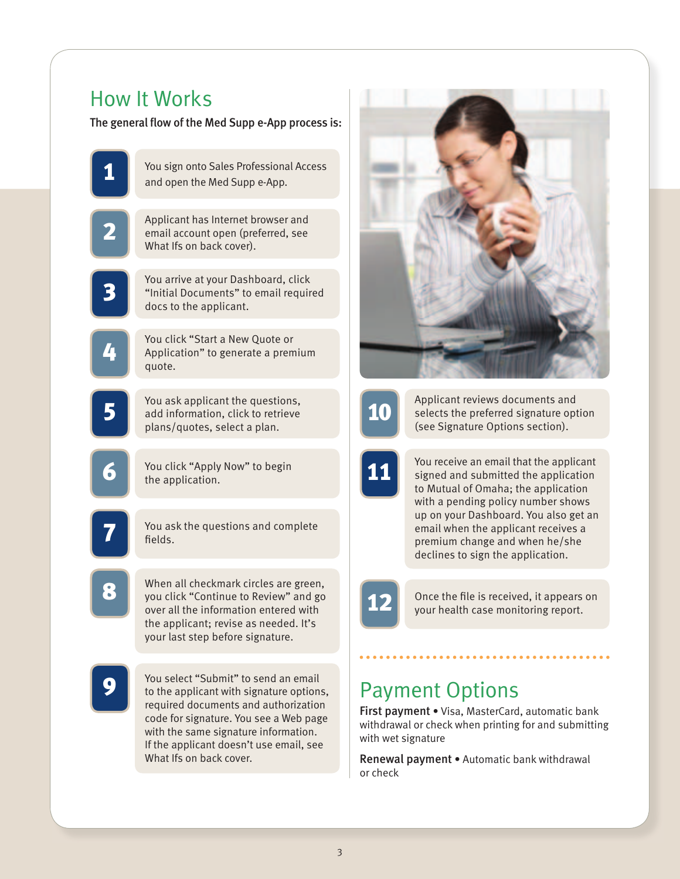### How It Works

The general flow of the Med Supp e-App process is:

|            | You sign onto Sales Professional Access<br>and open the Med Supp e-App.                                                                                                                                                                                                          |
|------------|----------------------------------------------------------------------------------------------------------------------------------------------------------------------------------------------------------------------------------------------------------------------------------|
|            | Applicant has Internet browser and<br>email account open (preferred, see<br>What Ifs on back cover).                                                                                                                                                                             |
| 3          | You arrive at your Dashboard, click<br>"Initial Documents" to email required<br>docs to the applicant.                                                                                                                                                                           |
| ה'<br>יי   | You click "Start a New Quote or<br>Application" to generate a premium<br>quote.                                                                                                                                                                                                  |
|            | You ask applicant the questions,<br>add information, click to retrieve<br>plans/quotes, select a plan.                                                                                                                                                                           |
| <b>Nov</b> | You click "Apply Now" to begin<br>the application.                                                                                                                                                                                                                               |
| 7          | You ask the questions and complete<br>fields.                                                                                                                                                                                                                                    |
|            | When all checkmark circles are green,<br>you click "Continue to Review" and go<br>over all the information entered with<br>the applicant; revise as needed. It's<br>your last step before signature.                                                                             |
|            | You select "Submit" to send an email<br>to the applicant with signature options,<br>required documents and authorization<br>code for signature. You see a Web page<br>with the same signature information.<br>If the applicant doesn't use email, see<br>What Ifs on back cover. |





**10** Applicant reviews documents and selects the preferred signature option (see Signature Options section).

**11** You receive an email that the applicant signed and submitted the application to Mutual of Omaha; the application with a pending policy number shows up on your Dashboard. You also get an email when the applicant receives a premium change and when he/she declines to sign the application.

> Once the file is received, it appears on your health case monitoring report.

### **Payment Options**

First payment . Visa, MasterCard, automatic bank withdrawal or check when printing for and submitting with wet signature

Renewal payment . Automatic bank withdrawal or check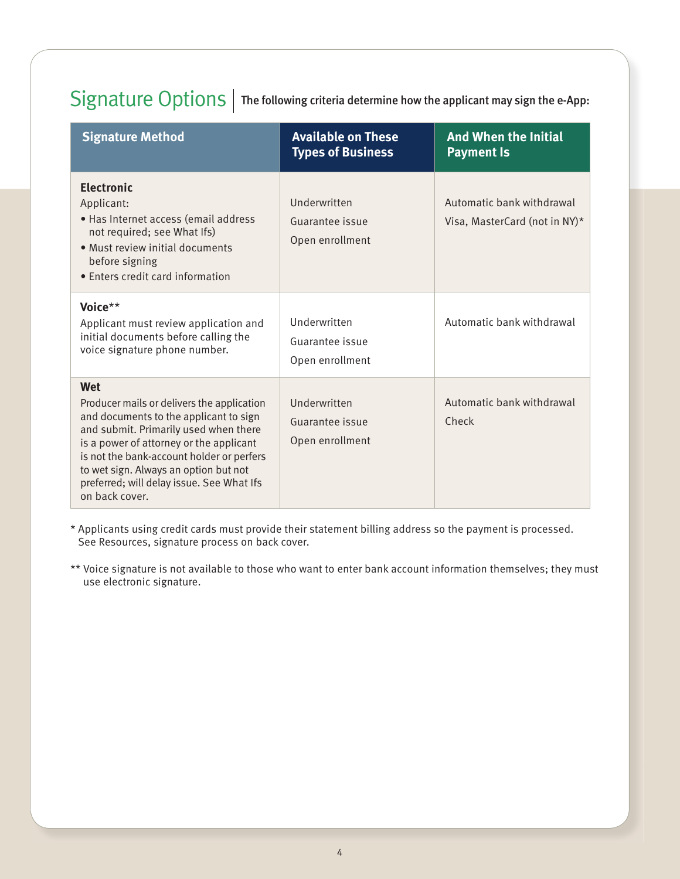### $Signature Options |$  The following criteria determine how the applicant may sign the e-App:

| <b>Signature Method</b>                                                                                                                                                                                                                                                                                                              | <b>Available on These</b><br><b>Types of Business</b> | <b>And When the Initial</b><br><b>Payment Is</b>              |
|--------------------------------------------------------------------------------------------------------------------------------------------------------------------------------------------------------------------------------------------------------------------------------------------------------------------------------------|-------------------------------------------------------|---------------------------------------------------------------|
| <b>Electronic</b><br>Applicant:<br>· Has Internet access (email address<br>not required; see What Ifs)<br>• Must review initial documents<br>before signing<br>• Enters credit card information                                                                                                                                      | Underwritten<br>Guarantee issue<br>Open enrollment    | Automatic bank withdrawal<br>Visa, MasterCard (not in NY) $*$ |
| Voice**<br>Applicant must review application and<br>initial documents before calling the<br>voice signature phone number.                                                                                                                                                                                                            | Underwritten<br>Guarantee issue<br>Open enrollment    | Automatic bank withdrawal                                     |
| Wet<br>Producer mails or delivers the application<br>and documents to the applicant to sign<br>and submit. Primarily used when there<br>is a power of attorney or the applicant<br>is not the bank-account holder or perfers<br>to wet sign. Always an option but not<br>preferred; will delay issue. See What Ifs<br>on back cover. | Underwritten<br>Guarantee issue<br>Open enrollment    | Automatic bank withdrawal<br>Check                            |

\* Applicants using credit cards must provide their statement billing address so the payment is processed. See Resources, signature process on back cover.

\*\* Voice signature is not available to those who want to enter bank account information themselves; they must use electronic signature.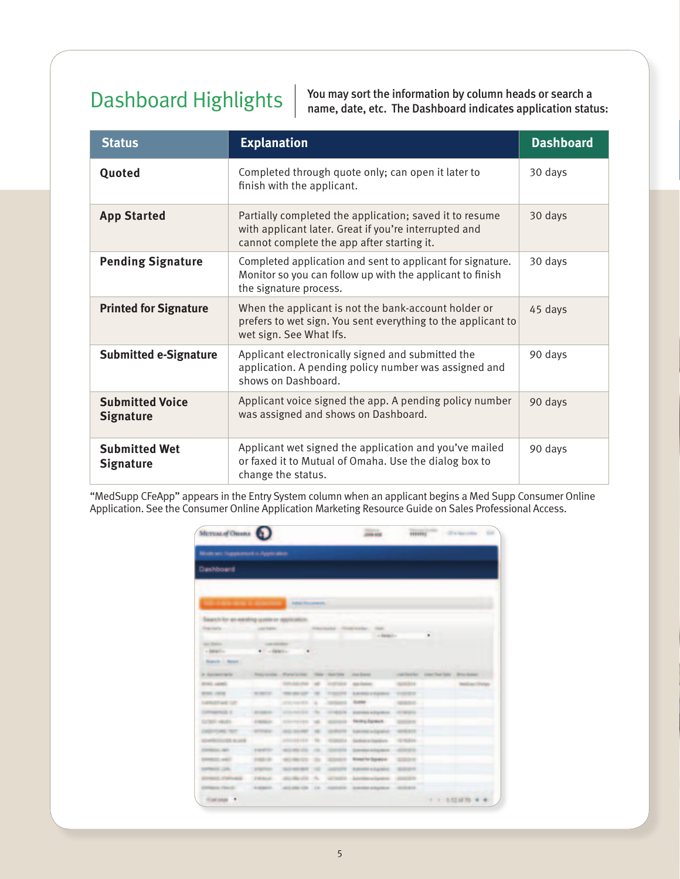## Dashboard Highlights

You may sort the information by column heads or search a name, date, etc. The Dashboard indicates application status:

| <b>Status</b>                              | <b>Explanation</b>                                                                                                                                             | <b>Dashboard</b> |
|--------------------------------------------|----------------------------------------------------------------------------------------------------------------------------------------------------------------|------------------|
| Quoted                                     | Completed through quote only; can open it later to<br>finish with the applicant.                                                                               | 30 days          |
| <b>App Started</b>                         | Partially completed the application; saved it to resume<br>with applicant later. Great if you're interrupted and<br>cannot complete the app after starting it. | 30 days          |
| <b>Pending Signature</b>                   | Completed application and sent to applicant for signature.<br>Monitor so you can follow up with the applicant to finish<br>the signature process.              | 30 days          |
| <b>Printed for Signature</b>               | When the applicant is not the bank-account holder or<br>prefers to wet sign. You sent everything to the applicant to<br>wet sign. See What Ifs.                | 45 days          |
| <b>Submitted e-Signature</b>               | Applicant electronically signed and submitted the<br>application. A pending policy number was assigned and<br>shows on Dashboard.                              | 90 days          |
| <b>Submitted Voice</b><br><b>Signature</b> | Applicant voice signed the app. A pending policy number<br>was assigned and shows on Dashboard.                                                                | 90 days          |
| <b>Submitted Wet</b><br><b>Signature</b>   | Applicant wet signed the application and you've mailed<br>or faxed it to Mutual of Omaha. Use the dialog box to<br>change the status.                          | 90 days          |

"MedSupp CFeApp" appears in the Entry System column when an applicant begins a Med Supp Consumer Online Application. See the Consumer Online Application Marketing Resource Guide on Sales Professional Access.

| Minde are Supplement is Apple alone                                                                                                                        |                      |                      |                             |                                                 |                   |                       |
|------------------------------------------------------------------------------------------------------------------------------------------------------------|----------------------|----------------------|-----------------------------|-------------------------------------------------|-------------------|-----------------------|
| Dashboard                                                                                                                                                  |                      |                      |                             |                                                 |                   |                       |
|                                                                                                                                                            |                      |                      |                             |                                                 |                   |                       |
|                                                                                                                                                            |                      |                      |                             |                                                 |                   |                       |
| <b>CONTRACT EXPERIENCES</b> Additionally                                                                                                                   |                      |                      |                             |                                                 |                   |                       |
| Saper's for an earning queen or approalers.                                                                                                                |                      |                      |                             |                                                 |                   |                       |
| Frankly Co., Landson, Co., Landson, Manham, Thomas & Co.,                                                                                                  |                      |                      | CONTRACTOR AND MONEY WITH A | w.                                              |                   |                       |
|                                                                                                                                                            |                      |                      |                             | The State and The                               |                   |                       |
| <b>RADIO COMPANY</b>                                                                                                                                       | <b>CONTRACTOR</b>    |                      |                             |                                                 |                   |                       |
| $+10000$                                                                                                                                                   | · Catalogue          | $\ddot{\phantom{1}}$ |                             |                                                 |                   |                       |
| <b>Roarch C. Roset C.</b>                                                                                                                                  |                      |                      |                             |                                                 |                   |                       |
|                                                                                                                                                            |                      |                      |                             |                                                 |                   |                       |
| <b>ROAD LANGE</b>                                                                                                                                          |                      |                      |                             | ten-salute all instrume as exclusive            | <b>CONTRACTOR</b> | <b>Senitore Chara</b> |
|                                                                                                                                                            |                      |                      |                             |                                                 |                   |                       |
| <b>RIVE AND COMPANY REPORTS</b>                                                                                                                            |                      |                      |                             | Three-to- of FIGURE SANDARDAY, FISHER           |                   |                       |
|                                                                                                                                                            |                      |                      |                             | processity in company week --                   | <b>CONSULTANT</b> |                       |
|                                                                                                                                                            | <b>CALCULATION</b>   |                      |                             | USE/ARTES TO COVERED ANOMARCHE ATTACHED         |                   |                       |
|                                                                                                                                                            | <b>COMMERCIAL</b>    |                      |                             | converse at money weathers, money               |                   |                       |
| CHRISTIANIC FREE                                                                                                                                           | <b>CONTRACTOR</b>    |                      |                             | ASSESSED M. CORON SAVANAMENT STEEL -            |                   |                       |
| Good March 2120 Street Corp.                                                                                                                               |                      |                      |                             | PERSONAL COMPANY, SURGEROUSLY CONTROL.          |                   |                       |
| CARMELL AND VIEW                                                                                                                                           | <b>CONTRACTOR</b>    |                      |                             | ALCOHOL: IL COVER DIMANUARMENT CORPORATION      |                   |                       |
|                                                                                                                                                            | <b>CONTRACTOR</b>    |                      |                             | AUSTRALIA De SEDARA ROMANTANAN GEORGIA          |                   |                       |
|                                                                                                                                                            | <b>START SERVICE</b> |                      |                             | <b>SOMETIVE ARTIST SHOWLING SERVE</b>           |                   |                       |
| Contributed and Cold<br>CONTINUES IN CON-<br><b>SALES AND ARTICLES</b><br><b>COMMERCIAL ANDER</b><br><b>DEPARTIES LEADS</b><br><b>EDIRAREA ATMOSPHANIE</b> |                      |                      |                             | FRAUD. Allywood P. Mercedes Assessments and the |                   |                       |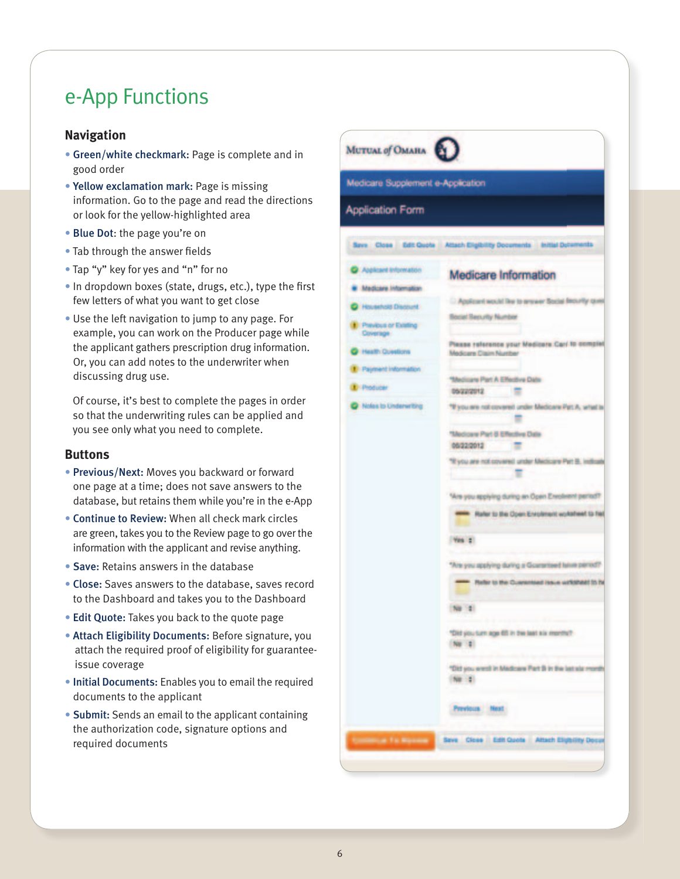### e-App Functions

#### **Navigation**

- **Green/white checkmark: Page is complete and in** good order
- Yellow exclamation mark: Page is missing information. Go to the page and read the directions or look for the yellow-highlighted area
- Blue Dot: the page you're on
- Tab through the answer fields
- Tap "y" key for yes and "n" for no
- . In dropdown boxes (state, drugs, etc.), type the first few letters of what you want to get close
- Use the left navigation to jump to any page. For example, you can work on the Producer page while the applicant gathers prescription drug information. Or, you can add notes to the underwriter when discussing drug use.

Of course, it's best to complete the pages in order so that the underwriting rules can be applied and you see only what you need to complete.

#### **Buttons**

- Previous/Next: Moves you backward or forward one page at a time; does not save answers to the database, but retains them while you're in the e-App
- Continue to Review: When all check mark circles are green, takes you to the Review page to go over the information with the applicant and revise anything.
- Save: Retains answers in the database
- Close: Saves answers to the database, saves record to the Dashboard and takes you to the Dashboard
- Edit Quote: Takes you back to the quote page
- Attach Eligibility Documents: Before signature, you attach the required proof of eligibility for guaranteeissue coverage
- . Initial Documents: Enables you to email the required documents to the applicant
- Submit: Sends an email to the applicant containing the authorization code, signature options and required documents